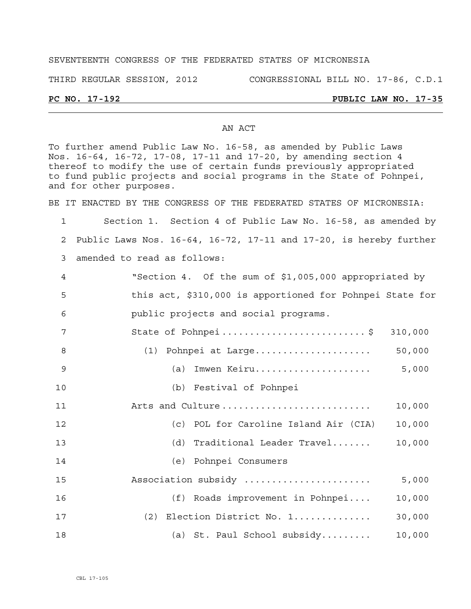# SEVENTEENTH CONGRESS OF THE FEDERATED STATES OF MICRONESIA

THIRD REGULAR SESSION, 2012 CONGRESSIONAL BILL NO. 17-86, C.D.1

## **PC NO. 17-192 PUBLIC LAW NO. 17-35**

### AN ACT

To further amend Public Law No. 16-58, as amended by Public Laws Nos. 16-64, 16-72, 17-08, 17-11 and 17-20, by amending section 4 thereof to modify the use of certain funds previously appropriated to fund public projects and social programs in the State of Pohnpei, and for other purposes.

BE IT ENACTED BY THE CONGRESS OF THE FEDERATED STATES OF MICRONESIA:

1 Section 1. Section 4 of Public Law No. 16-58, as amended by 2 Public Laws Nos. 16-64, 16-72, 17-11 and 17-20, is hereby further 3 amended to read as follows:

4 "Section 4. Of the sum of \$1,005,000 appropriated by 5 this act, \$310,000 is apportioned for Pohnpei State for 6 public projects and social programs.

7 State of Pohnpei................................\$ 310,000 8 (1) Pohnpei at Large..................... 50,000 9 (a) Imwen Keiru..................... 5,000

10 (b) Festival of Pohnpei

11 Arts and Culture ........................... 10,000 12 (c) POL for Caroline Island Air (CIA) 10,000 13 (d) Traditional Leader Travel....... 10,000 14 (e) Pohnpei Consumers

- 15 Association subsidy ....................... 5,000
- 16 (f) Roads improvement in Pohnpei.... 10,000
- 17 (2) Election District No. 1.............. 30,000
- 18 (a) St. Paul School subsidy......... 10,000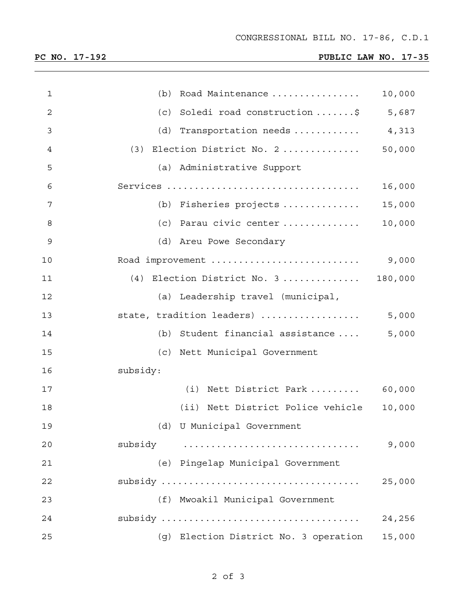<u> 1989 - Johann Stoff, amerikansk politiker (\* 1908)</u>

# **PC NO. 17-192 PUBLIC LAW NO. 17-35**

| $\mathbf{1}$   | (b) Road Maintenance                  | 10,000  |
|----------------|---------------------------------------|---------|
| $\overline{c}$ | (c) Soledi road construction \$       | 5,687   |
| 3              | (d) Transportation needs $4,313$      |         |
| 4              | Election District No. 2<br>(3)        | 50,000  |
| 5              | (a) Administrative Support            |         |
| 6              |                                       | 16,000  |
| 7              | (b) Fisheries projects                | 15,000  |
| 8              | (c) Parau civic center                | 10,000  |
| 9              | (d) Areu Powe Secondary               |         |
| 10             | Road improvement                      | 9,000   |
| 11             | $(4)$ Election District No. 3         | 180,000 |
| 12             | (a) Leadership travel (municipal,     |         |
| 13             | state, tradition leaders)             | 5,000   |
| 14             | (b) Student financial assistance      | 5,000   |
| 15             | (c) Nett Municipal Government         |         |
| 16             | subsidy:                              |         |
| 17             | $(i)$ Nett District Park  60,000      |         |
| 18             | (ii) Nett District Police vehicle     | 10,000  |
| 19             | (d) U Municipal Government            |         |
| 20             | subsidy                               | 9,000   |
| 21             | (e) Pingelap Municipal Government     |         |
| 22             |                                       | 25,000  |
| 23             | (f) Mwoakil Municipal Government      |         |
| 24             |                                       | 24,256  |
| 25             | (g) Election District No. 3 operation | 15,000  |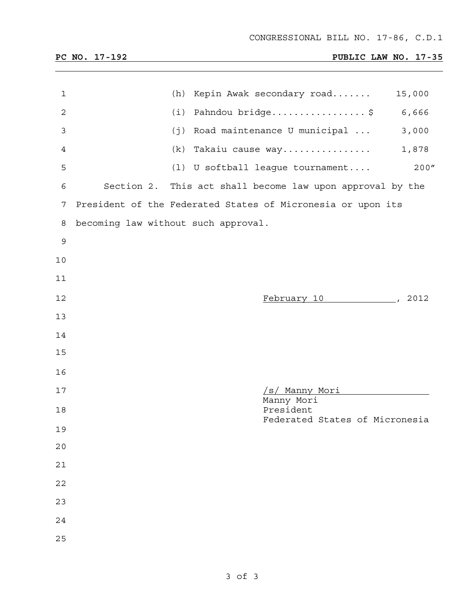# **PC NO. 17-192 PUBLIC LAW NO. 17-35**

| 1            |                                     | (h) Kepin Awak secondary road                               | 15,000 |
|--------------|-------------------------------------|-------------------------------------------------------------|--------|
| $\mathbf{2}$ |                                     | $(i)$ Pahndou bridge\$ 6,666                                |        |
| 3            | (j)                                 | Road maintenance U municipal                                | 3,000  |
| 4            |                                     | (k) Takaiu cause way                                        | 1,878  |
| 5            |                                     | (1) U softball league tournament                            | 200''  |
| 6            |                                     | Section 2. This act shall become law upon approval by the   |        |
| 7            |                                     | President of the Federated States of Micronesia or upon its |        |
| 8            | becoming law without such approval. |                                                             |        |
| 9            |                                     |                                                             |        |
| 10           |                                     |                                                             |        |
| 11           |                                     |                                                             |        |
| 12           |                                     | February 10 (2012)                                          |        |
| 13           |                                     |                                                             |        |
| 14           |                                     |                                                             |        |
| 15           |                                     |                                                             |        |
| 16           |                                     |                                                             |        |
| 17           |                                     | <u>/s/ Manny Mori</u>                                       |        |
| 18           |                                     | Manny Mori<br>President                                     |        |
| 19           |                                     | Federated States of Micronesia                              |        |
| 20           |                                     |                                                             |        |
| 21           |                                     |                                                             |        |
| 22           |                                     |                                                             |        |
| 23           |                                     |                                                             |        |
| 24           |                                     |                                                             |        |
| 25           |                                     |                                                             |        |